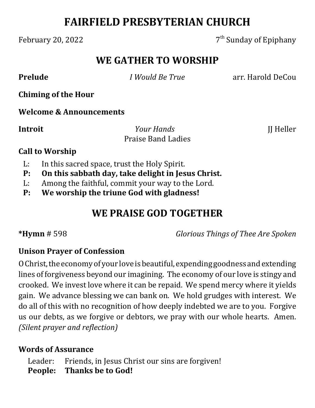# **FAIRFIELD PRESBYTERIAN CHURCH**

February 20, 2022  $7<sup>th</sup>$  Sunday of Epiphany

## **WE GATHER TO WORSHIP**

**Prelude** *I Would Be True* arr. Harold DeCou

**Chiming of the Hour**

**Welcome & Announcements**

**Introit** *Your Hands II* Heller Praise Band Ladies

## **Call to Worship**

- L: In this sacred space, trust the Holy Spirit.
- **P: On this sabbath day, take delight in Jesus Christ.**
- L: Among the faithful, commit your way to the Lord.
- **P: We worship the triune God with gladness!**

# **WE PRAISE GOD TOGETHER**

**\*Hymn** # 598 *Glorious Things of Thee Are Spoken*

## **Unison Prayer of Confession**

O Christ, the economy of your love is beautiful, expending goodness and extending lines of forgiveness beyond our imagining. The economy of our love is stingy and crooked. We invest love where it can be repaid. We spend mercy where it yields gain. We advance blessing we can bank on. We hold grudges with interest. We do all of this with no recognition of how deeply indebted we are to you. Forgive us our debts, as we forgive or debtors, we pray with our whole hearts. Amen. *(Silent prayer and reflection)*

## **Words of Assurance**

Leader: Friends, in Jesus Christ our sins are forgiven! **People: Thanks be to God!**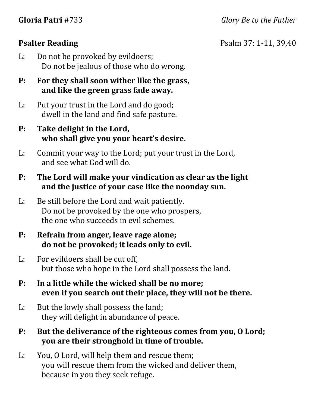**Gloria Patri** #733 *Glory Be to the Father*

- L: Do not be provoked by evildoers; Do not be jealous of those who do wrong.
- **P: For they shall soon wither like the grass, and like the green grass fade away.**
- L: Put your trust in the Lord and do good; dwell in the land and find safe pasture.
- **P: Take delight in the Lord, who shall give you your heart's desire.**
- L: Commit your way to the Lord; put your trust in the Lord, and see what God will do.
- **P: The Lord will make your vindication as clear as the light and the justice of your case like the noonday sun.**
- L: Be still before the Lord and wait patiently. Do not be provoked by the one who prospers, the one who succeeds in evil schemes.
- **P: Refrain from anger, leave rage alone; do not be provoked; it leads only to evil.**
- L: For evildoers shall be cut off, but those who hope in the Lord shall possess the land.
- **P: In a little while the wicked shall be no more; even if you search out their place, they will not be there.**
- L: But the lowly shall possess the land; they will delight in abundance of peace.
- **P: But the deliverance of the righteous comes from you, O Lord; you are their stronghold in time of trouble.**
- L: You, O Lord, will help them and rescue them; you will rescue them from the wicked and deliver them, because in you they seek refuge.

**Psalter Reading** Psalm 37: 1-11, 39,40